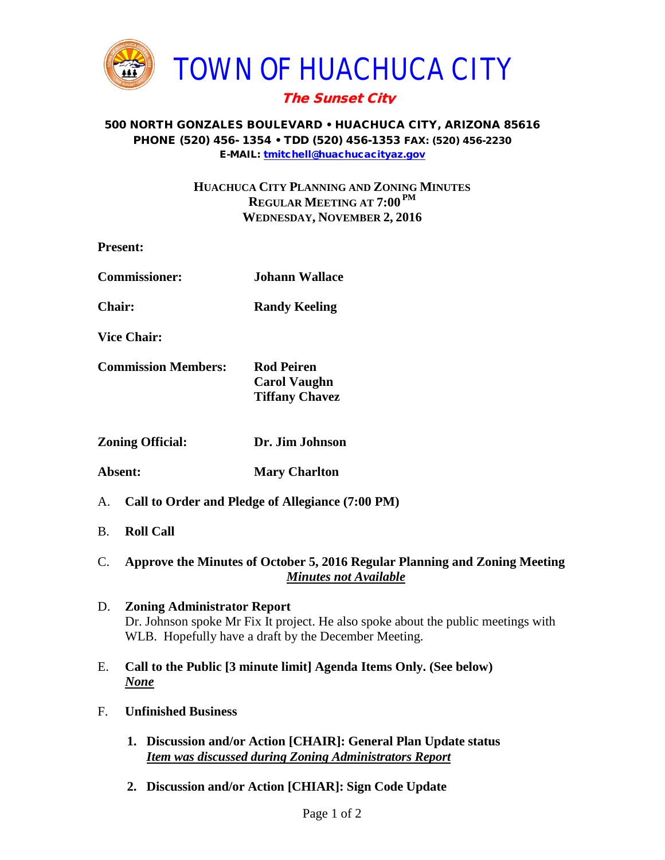

## The Sunset City

## 500 NORTH GONZALES BOULEVARD • HUACHUCA CITY, ARIZONA 85616 PHONE (520) 456- 1354 • TDD (520) 456-1353 FAX: (520) 456-2230 E-MAIL: [tmitchell@huachucacityaz.gov](mailto:tmitchell@huachucacityaz.gov)

## **HUACHUCA CITY PLANNING AND ZONING MINUTES REGULAR MEETING AT 7:00 PM WEDNESDAY, NOVEMBER 2, 2016**

|                            | <b>Present:</b>                                                                                            |                                                                   |
|----------------------------|------------------------------------------------------------------------------------------------------------|-------------------------------------------------------------------|
| <b>Commissioner:</b>       |                                                                                                            | <b>Johann Wallace</b>                                             |
| <b>Chair:</b>              |                                                                                                            | <b>Randy Keeling</b>                                              |
|                            | <b>Vice Chair:</b>                                                                                         |                                                                   |
| <b>Commission Members:</b> |                                                                                                            | <b>Rod Peiren</b><br><b>Carol Vaughn</b><br><b>Tiffany Chavez</b> |
| <b>Zoning Official:</b>    |                                                                                                            | Dr. Jim Johnson                                                   |
| Absent:                    |                                                                                                            | <b>Mary Charlton</b>                                              |
| A.                         | Call to Order and Pledge of Allegiance (7:00 PM)                                                           |                                                                   |
| <b>B.</b>                  | <b>Roll Call</b>                                                                                           |                                                                   |
| $\mathbf{C}$ .             | Approve the Minutes of October 5, 2016 Regular Planning and Zoning Meeting<br><b>Minutes not Available</b> |                                                                   |

- D. **Zoning Administrator Report** Dr. Johnson spoke Mr Fix It project. He also spoke about the public meetings with WLB. Hopefully have a draft by the December Meeting.
- E. **Call to the Public [3 minute limit] Agenda Items Only. (See below)** *None*
- F. **Unfinished Business**
	- **1. Discussion and/or Action [CHAIR]: General Plan Update status** *Item was discussed during Zoning Administrators Report*
	- **2. Discussion and/or Action [CHIAR]: Sign Code Update**